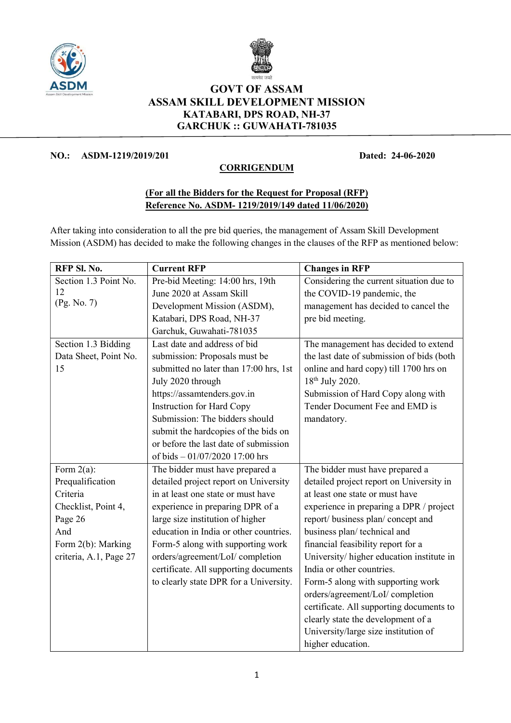



## GOVT OF ASSAM ASSAM SKILL DEVELOPMENT MISSION KATABARI, DPS ROAD, NH-37 GARCHUK :: GUWAHATI-781035

## NO.: ASDM-1219/2019/201 Dated: 24-06-2020

## **CORRIGENDUM**

## (For all the Bidders for the Request for Proposal (RFP) Reference No. ASDM- 1219/2019/149 dated 11/06/2020)

After taking into consideration to all the pre bid queries, the management of Assam Skill Development Mission (ASDM) has decided to make the following changes in the clauses of the RFP as mentioned below:

| RFP SI. No.            | <b>Current RFP</b>                     | <b>Changes in RFP</b>                     |
|------------------------|----------------------------------------|-------------------------------------------|
| Section 1.3 Point No.  | Pre-bid Meeting: 14:00 hrs, 19th       | Considering the current situation due to  |
| 12                     | June 2020 at Assam Skill               | the COVID-19 pandemic, the                |
| (Pg. No. 7)            | Development Mission (ASDM),            | management has decided to cancel the      |
|                        | Katabari, DPS Road, NH-37              | pre bid meeting.                          |
|                        | Garchuk, Guwahati-781035               |                                           |
| Section 1.3 Bidding    | Last date and address of bid           | The management has decided to extend      |
| Data Sheet, Point No.  | submission: Proposals must be          | the last date of submission of bids (both |
| 15                     | submitted no later than 17:00 hrs, 1st | online and hard copy) till 1700 hrs on    |
|                        | July 2020 through                      | 18 <sup>th</sup> July 2020.               |
|                        | https://assamtenders.gov.in            | Submission of Hard Copy along with        |
|                        | <b>Instruction for Hard Copy</b>       | Tender Document Fee and EMD is            |
|                        | Submission: The bidders should         | mandatory.                                |
|                        | submit the hardcopies of the bids on   |                                           |
|                        | or before the last date of submission  |                                           |
|                        | of bids - 01/07/2020 17:00 hrs         |                                           |
| Form $2(a)$ :          | The bidder must have prepared a        | The bidder must have prepared a           |
| Prequalification       | detailed project report on University  | detailed project report on University in  |
| Criteria               | in at least one state or must have     | at least one state or must have           |
| Checklist, Point 4,    | experience in preparing DPR of a       | experience in preparing a DPR / project   |
| Page 26                | large size institution of higher       | report/ business plan/ concept and        |
| And                    | education in India or other countries. | business plan/technical and               |
| Form 2(b): Marking     | Form-5 along with supporting work      | financial feasibility report for a        |
| criteria, A.1, Page 27 | orders/agreement/LoI/ completion       | University/ higher education institute in |
|                        | certificate. All supporting documents  | India or other countries.                 |
|                        | to clearly state DPR for a University. | Form-5 along with supporting work         |
|                        |                                        | orders/agreement/LoI/ completion          |
|                        |                                        | certificate. All supporting documents to  |
|                        |                                        | clearly state the development of a        |
|                        |                                        | University/large size institution of      |
|                        |                                        | higher education.                         |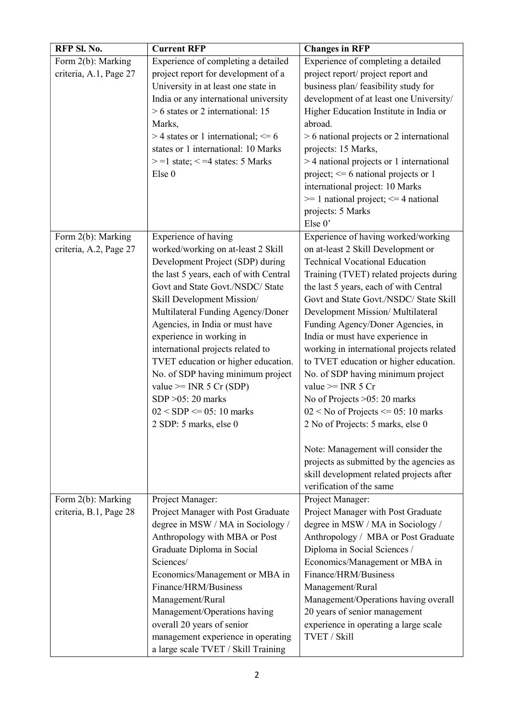| RFP Sl. No.                                  | <b>Current RFP</b>                                                                                                                                                                                                                                                                                                                                                                                                                                                                                                                               | <b>Changes in RFP</b>                                                                                                                                                                                                                                                                                                                                                                                                                                                                                                                                                                                                                                                                                                                                               |
|----------------------------------------------|--------------------------------------------------------------------------------------------------------------------------------------------------------------------------------------------------------------------------------------------------------------------------------------------------------------------------------------------------------------------------------------------------------------------------------------------------------------------------------------------------------------------------------------------------|---------------------------------------------------------------------------------------------------------------------------------------------------------------------------------------------------------------------------------------------------------------------------------------------------------------------------------------------------------------------------------------------------------------------------------------------------------------------------------------------------------------------------------------------------------------------------------------------------------------------------------------------------------------------------------------------------------------------------------------------------------------------|
| Form 2(b): Marking<br>criteria, A.1, Page 27 | Experience of completing a detailed<br>project report for development of a<br>University in at least one state in<br>India or any international university<br>$> 6$ states or 2 international: 15<br>Marks,<br>$>$ 4 states or 1 international; $\leq$ 6<br>states or 1 international: 10 Marks<br>$> = 1$ state; $< = 4$ states: 5 Marks<br>Else 0                                                                                                                                                                                              | Experience of completing a detailed<br>project report/ project report and<br>business plan/ feasibility study for<br>development of at least one University/<br>Higher Education Institute in India or<br>abroad.<br>$> 6$ national projects or 2 international<br>projects: 15 Marks,<br>> 4 national projects or 1 international<br>project; $\leq 6$ national projects or 1<br>international project: 10 Marks<br>$\ge$ 1 national project; $\le$ 4 national<br>projects: 5 Marks<br>Else 0'                                                                                                                                                                                                                                                                     |
| Form 2(b): Marking<br>criteria, A.2, Page 27 | Experience of having<br>worked/working on at-least 2 Skill<br>Development Project (SDP) during<br>the last 5 years, each of with Central<br>Govt and State Govt./NSDC/ State<br>Skill Development Mission/<br>Multilateral Funding Agency/Doner<br>Agencies, in India or must have<br>experience in working in<br>international projects related to<br>TVET education or higher education.<br>No. of SDP having minimum project<br>value $\geq$ INR 5 Cr (SDP)<br>$SDP > 05: 20$ marks<br>$02 < SDP \le 05$ : 10 marks<br>2 SDP: 5 marks, else 0 | Experience of having worked/working<br>on at-least 2 Skill Development or<br><b>Technical Vocational Education</b><br>Training (TVET) related projects during<br>the last 5 years, each of with Central<br>Govt and State Govt./NSDC/ State Skill<br>Development Mission/ Multilateral<br>Funding Agency/Doner Agencies, in<br>India or must have experience in<br>working in international projects related<br>to TVET education or higher education.<br>No. of SDP having minimum project<br>value $>=$ INR 5 Cr<br>No of Projects >05: 20 marks<br>$02 <$ No of Projects $\leq 05$ : 10 marks<br>2 No of Projects: 5 marks, else 0<br>Note: Management will consider the<br>projects as submitted by the agencies as<br>skill development related projects after |
| Form 2(b): Marking                           | Project Manager:                                                                                                                                                                                                                                                                                                                                                                                                                                                                                                                                 | verification of the same<br>Project Manager:                                                                                                                                                                                                                                                                                                                                                                                                                                                                                                                                                                                                                                                                                                                        |
| criteria, B.1, Page 28                       | Project Manager with Post Graduate<br>degree in MSW / MA in Sociology /<br>Anthropology with MBA or Post<br>Graduate Diploma in Social<br>Sciences/<br>Economics/Management or MBA in<br>Finance/HRM/Business<br>Management/Rural<br>Management/Operations having<br>overall 20 years of senior<br>management experience in operating<br>a large scale TVET / Skill Training                                                                                                                                                                     | Project Manager with Post Graduate<br>degree in MSW / MA in Sociology /<br>Anthropology / MBA or Post Graduate<br>Diploma in Social Sciences /<br>Economics/Management or MBA in<br>Finance/HRM/Business<br>Management/Rural<br>Management/Operations having overall<br>20 years of senior management<br>experience in operating a large scale<br>TVET / Skill                                                                                                                                                                                                                                                                                                                                                                                                      |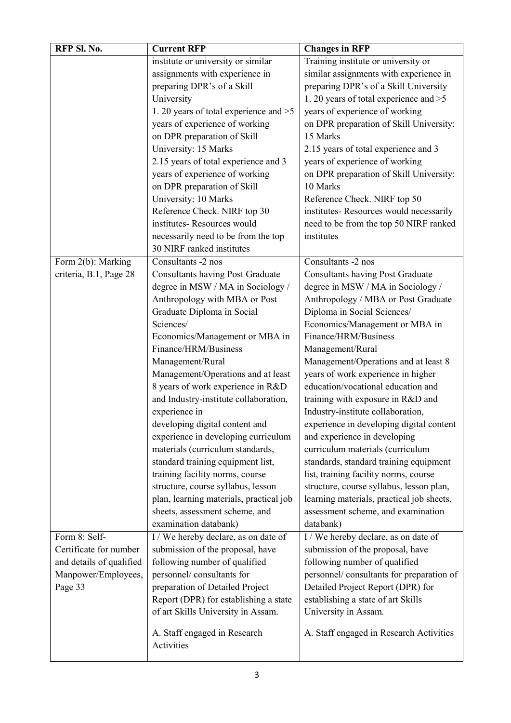| RFP Sl. No.              | <b>Current RFP</b>                      | <b>Changes in RFP</b>                     |
|--------------------------|-----------------------------------------|-------------------------------------------|
|                          | institute or university or similar      | Training institute or university or       |
|                          | assignments with experience in          | similar assignments with experience in    |
|                          | preparing DPR's of a Skill              | preparing DPR's of a Skill University     |
|                          | University                              | 1. 20 years of total experience and >5    |
|                          | 1. 20 years of total experience and >5  | years of experience of working            |
|                          | years of experience of working          | on DPR preparation of Skill University:   |
|                          | on DPR preparation of Skill             | 15 Marks                                  |
|                          | University: 15 Marks                    | 2.15 years of total experience and 3      |
|                          | 2.15 years of total experience and 3    | years of experience of working            |
|                          | years of experience of working          | on DPR preparation of Skill University:   |
|                          | on DPR preparation of Skill             | 10 Marks                                  |
|                          | University: 10 Marks                    | Reference Check. NIRF top 50              |
|                          | Reference Check. NIRF top 30            | institutes-Resources would necessarily    |
|                          | institutes-Resources would              | need to be from the top 50 NIRF ranked    |
|                          | necessarily need to be from the top     | institutes                                |
|                          | 30 NIRF ranked institutes               |                                           |
| Form 2(b): Marking       | Consultants -2 nos                      | Consultants -2 nos                        |
| criteria, B.1, Page 28   | <b>Consultants having Post Graduate</b> | <b>Consultants having Post Graduate</b>   |
|                          | degree in MSW / MA in Sociology /       | degree in MSW / MA in Sociology /         |
|                          | Anthropology with MBA or Post           | Anthropology / MBA or Post Graduate       |
|                          | Graduate Diploma in Social              | Diploma in Social Sciences/               |
|                          | Sciences/                               | Economics/Management or MBA in            |
|                          | Economics/Management or MBA in          | Finance/HRM/Business                      |
|                          | Finance/HRM/Business                    | Management/Rural                          |
|                          | Management/Rural                        | Management/Operations and at least 8      |
|                          | Management/Operations and at least      | years of work experience in higher        |
|                          | 8 years of work experience in R&D       | education/vocational education and        |
|                          | and Industry-institute collaboration,   | training with exposure in R&D and         |
|                          | experience in                           | Industry-institute collaboration,         |
|                          | developing digital content and          | experience in developing digital content  |
|                          | experience in developing curriculum     | and experience in developing              |
|                          | materials (curriculum standards,        | curriculum materials (curriculum          |
|                          | standard training equipment list,       | standards, standard training equipment    |
|                          | training facility norms, course         | list, training facility norms, course     |
|                          | structure, course syllabus, lesson      | structure, course syllabus, lesson plan,  |
|                          | plan, learning materials, practical job | learning materials, practical job sheets, |
|                          | sheets, assessment scheme, and          | assessment scheme, and examination        |
|                          | examination databank)                   | databank)                                 |
| Form 8: Self-            | I / We hereby declare, as on date of    | I / We hereby declare, as on date of      |
| Certificate for number   | submission of the proposal, have        | submission of the proposal, have          |
| and details of qualified | following number of qualified           | following number of qualified             |
| Manpower/Employees,      | personnel/consultants for               | personnel/ consultants for preparation of |
| Page 33                  | preparation of Detailed Project         | Detailed Project Report (DPR) for         |
|                          | Report (DPR) for establishing a state   | establishing a state of art Skills        |
|                          | of art Skills University in Assam.      | University in Assam.                      |
|                          | A. Staff engaged in Research            | A. Staff engaged in Research Activities   |
|                          | Activities                              |                                           |
|                          |                                         |                                           |